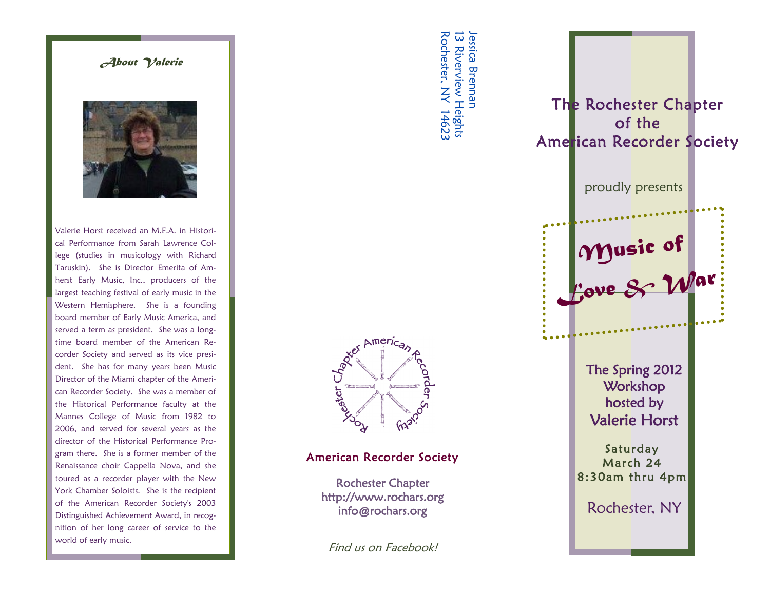## *About Valerie*



Valerie Horst received an M.F.A. in Historical Performance from Sarah Lawrence College (studies in musicology with Richard Taruskin). She is Director Emerita of Amherst Early Music, Inc., producers of the largest teaching festival of early music in the Western Hemisphere. She is a founding board member of Early Music America, and served a term as president. She was a longtime board member of the American Recorder Society and served as its vice president. She has for many years been Music Director of the Miami chapter of the American Recorder Society. She was a member of the Historical Performance faculty at the Mannes College of Music from 1982 to 2006, and served for several years as the director of the Historical Performance Program there. She is a former member of the Renaissance choir Cappella Nova, and she toured as a recorder player with the New York Chamber Soloists. She is the recipient of the American Recorder Society's 2003 Distinguished Achievement Award, in recognition of her long career of service to the world of early music.



## American Recorder Society

 Rochester Chapter http://www.rochars.org info@rochars.org

Find us on Facebook!